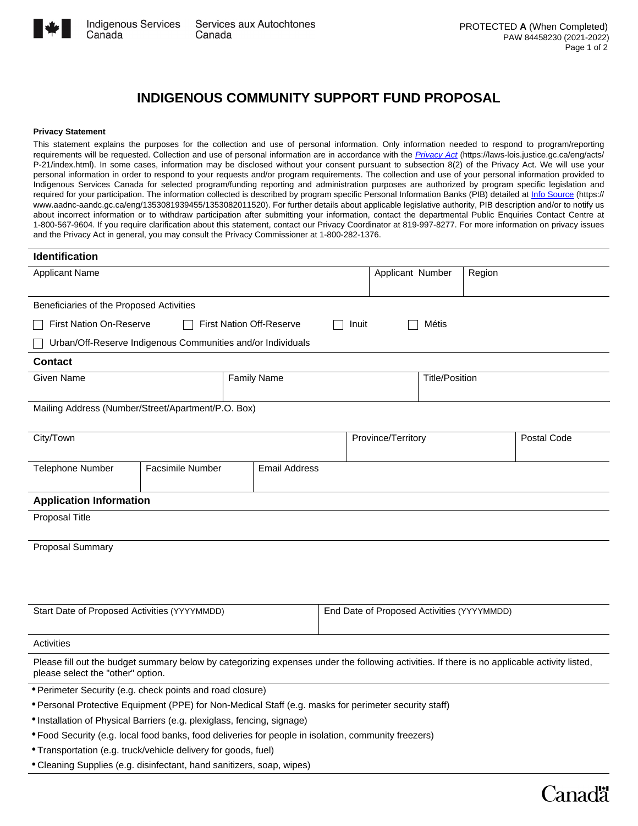

Canada

## **INDIGENOUS COMMUNITY SUPPORT FUND PROPOSAL**

## **Privacy Statement**

This statement explains the purposes for the collection and use of personal information. Only information needed to respond to program/reporting requirements will be requested. Collection and use of personal information are in accordance with the *[Privacy Act](https://laws-lois.justice.gc.ca/eng/acts/P-21/index.html)* (https://laws-lois.justice.gc.ca/eng/acts/ P-21/index.html). In some cases, information may be disclosed without your consent pursuant to subsection 8(2) of the Privacy Act. We will use your personal information in order to respond to your requests and/or program requirements. The collection and use of your personal information provided to Indigenous Services Canada for selected program/funding reporting and administration purposes are authorized by program specific legislation and required for your participation. The information collected is described by program specific Personal Information Banks (PIB) detailed at *[Info Source](https://www.aadnc-aandc.gc.ca/eng/1353081939455/1353082011520)* (https:// www.aadnc-aandc.gc.ca/eng/1353081939455/1353082011520). For further details about applicable legislative authority, PIB description and/or to notify us about incorrect information or to withdraw participation after submitting your information, contact the departmental Public Enquiries Contact Centre at 1-800-567-9604. If you require clarification about this statement, contact our Privacy Coordinator at 819-997-8277. For more information on privacy issues and the Privacy Act in general, you may consult the Privacy Commissioner at 1-800-282-1376.

| Identification                                                                                                                                                                    |                         |  |                                            |  |                                                |       |        |               |                      |
|-----------------------------------------------------------------------------------------------------------------------------------------------------------------------------------|-------------------------|--|--------------------------------------------|--|------------------------------------------------|-------|--------|---------------|----------------------|
| <b>Applicant Name</b>                                                                                                                                                             |                         |  |                                            |  | Applicant Number                               |       | Region |               | $\blacktriangledown$ |
| Beneficiaries of the Proposed Activities                                                                                                                                          |                         |  |                                            |  |                                                |       |        |               |                      |
| First Nation On-Reserve                                                                                                                                                           |                         |  | <b>First Nation Off-Reserve</b>            |  | Inuit                                          | Métis |        |               |                      |
| Urban/Off-Reserve Indigenous Communities and/or Individuals                                                                                                                       |                         |  |                                            |  |                                                |       |        |               |                      |
| <b>Contact</b>                                                                                                                                                                    |                         |  |                                            |  |                                                |       |        |               |                      |
| Given Name                                                                                                                                                                        |                         |  | <b>Family Name</b>                         |  | <b>Title/Position</b>                          |       |        |               |                      |
| Mailing Address (Number/Street/Apartment/P.O. Box)                                                                                                                                |                         |  |                                            |  |                                                |       |        |               |                      |
| City/Town                                                                                                                                                                         |                         |  |                                            |  | Province/Territory<br>$\overline{\phantom{a}}$ |       |        |               |                      |
| Telephone Number                                                                                                                                                                  | <b>Facsimile Number</b> |  | <b>Email Address</b>                       |  |                                                |       |        |               |                      |
| <b>Application Information</b>                                                                                                                                                    |                         |  |                                            |  |                                                |       |        |               |                      |
| Proposal Title                                                                                                                                                                    |                         |  |                                            |  |                                                |       |        |               |                      |
| Proposal Summary                                                                                                                                                                  |                         |  |                                            |  |                                                |       |        |               |                      |
|                                                                                                                                                                                   |                         |  |                                            |  |                                                |       |        |               |                      |
|                                                                                                                                                                                   |                         |  |                                            |  |                                                |       |        |               |                      |
| Start Date of Proposed Activities (YYYYMMDD)                                                                                                                                      |                         |  | End Date of Proposed Activities (YYYYMMDD) |  |                                                |       |        |               |                      |
| Activities                                                                                                                                                                        |                         |  |                                            |  |                                                |       |        |               |                      |
| Please fill out the budget summary below by categorizing expenses under the following activities. If there is no applicable activity listed,<br>please select the "other" option. |                         |  |                                            |  |                                                |       |        |               |                      |
| • Perimeter Security (e.g. check points and road closure)                                                                                                                         |                         |  |                                            |  |                                                |       |        |               |                      |
| * Personal Protective Equipment (PPE) for Non-Medical Staff (e.g. masks for perimeter security staff)                                                                             |                         |  |                                            |  |                                                |       |        |               |                      |
| · Installation of Physical Barriers (e.g. plexiglass, fencing, signage)                                                                                                           |                         |  |                                            |  |                                                |       |        |               |                      |
| * Food Security (e.g. local food banks, food deliveries for people in isolation, community freezers)                                                                              |                         |  |                                            |  |                                                |       |        |               |                      |
| • Transportation (e.g. truck/vehicle delivery for goods, fuel)                                                                                                                    |                         |  |                                            |  |                                                |       |        |               |                      |
| • Cleaning Supplies (e.g. disinfectant, hand sanitizers, soap, wipes)                                                                                                             |                         |  |                                            |  |                                                |       |        |               |                      |
|                                                                                                                                                                                   |                         |  |                                            |  |                                                |       |        | <b>Canadä</b> |                      |